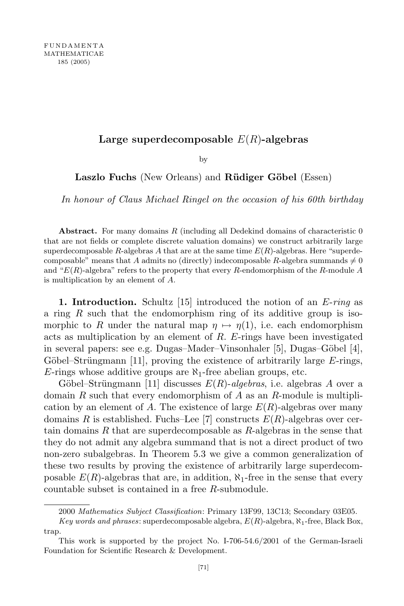## Large superdecomposable  $E(R)$ -algebras

by

Laszlo Fuchs (New Orleans) and Rüdiger Göbel (Essen)

In honour of Claus Michael Ringel on the occasion of his 60th birthday

Abstract. For many domains  $R$  (including all Dedekind domains of characteristic  $0$ that are not fields or complete discrete valuation domains) we construct arbitrarily large superdecomposable R-algebras A that are at the same time  $E(R)$ -algebras. Here "superdecomposable" means that A admits no (directly) indecomposable R-algebra summands  $\neq 0$ and " $E(R)$ -algebra" refers to the property that every R-endomorphism of the R-module A is multiplication by an element of A.

**1. Introduction.** Schultz [15] introduced the notion of an  $E\text{-}ring$  as a ring  $R$  such that the endomorphism ring of its additive group is isomorphic to R under the natural map  $\eta \mapsto \eta(1)$ , i.e. each endomorphism acts as multiplication by an element of  $R$ . E-rings have been investigated in several papers: see e.g. Dugas–Mader–Vinsonhaler [5], Dugas–Göbel [4], Göbel–Strüngmann [11], proving the existence of arbitrarily large  $E$ -rings, E-rings whose additive groups are  $\aleph_1$ -free abelian groups, etc.

Göbel–Strüngmann [11] discusses  $E(R)$ -algebras, i.e. algebras A over a domain R such that every endomorphism of A as an R-module is multiplication by an element of A. The existence of large  $E(R)$ -algebras over many domains R is established. Fuchs–Lee [7] constructs  $E(R)$ -algebras over certain domains  $R$  that are superdecomposable as  $R$ -algebras in the sense that they do not admit any algebra summand that is not a direct product of two non-zero subalgebras. In Theorem 5.3 we give a common generalization of these two results by proving the existence of arbitrarily large superdecomposable  $E(R)$ -algebras that are, in addition,  $\aleph_1$ -free in the sense that every countable subset is contained in a free R-submodule.

<sup>2000</sup> Mathematics Subject Classification: Primary 13F99, 13C13; Secondary 03E05.

Key words and phrases: superdecomposable algebra,  $E(R)$ -algebra,  $\aleph_1$ -free, Black Box, trap.

This work is supported by the project No. I-706-54.6/2001 of the German-Israeli Foundation for Scientific Research & Development.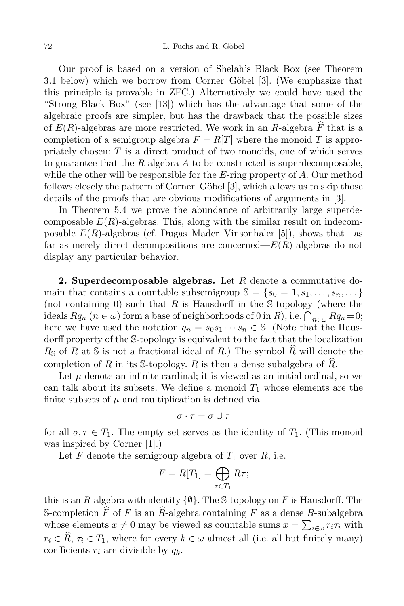Our proof is based on a version of Shelah's Black Box (see Theorem 3.1 below) which we borrow from Corner–Göbel [3]. (We emphasize that this principle is provable in ZFC.) Alternatively we could have used the "Strong Black Box" (see [13]) which has the advantage that some of the algebraic proofs are simpler, but has the drawback that the possible sizes of  $E(R)$ -algebras are more restricted. We work in an R-algebra  $\widehat{F}$  that is a completion of a semigroup algebra  $F = R[T]$  where the monoid T is appropriately chosen:  $T$  is a direct product of two monoids, one of which serves to guarantee that the R-algebra  $A$  to be constructed is superdecomposable, while the other will be responsible for the  $E$ -ring property of  $A$ . Our method follows closely the pattern of Corner–Göbel  $[3]$ , which allows us to skip those details of the proofs that are obvious modifications of arguments in [3].

In Theorem 5.4 we prove the abundance of arbitrarily large superdecomposable  $E(R)$ -algebras. This, along with the similar result on indecomposable  $E(R)$ -algebras (cf. Dugas–Mader–Vinsonhaler [5]), shows that—as far as merely direct decompositions are concerned— $E(R)$ -algebras do not display any particular behavior.

**2. Superdecomposable algebras.** Let  $R$  denote a commutative domain that contains a countable subsemigroup  $\mathbb{S} = \{s_0 = 1, s_1, \ldots, s_n, \ldots\}$ (not containing  $0$ ) such that  $R$  is Hausdorff in the S-topology (where the ideals  $Rq_n$   $(n \in \omega)$  form a base of neighborhoods of 0 in R), i.e.  $\bigcap_{n \in \omega} Rq_n = 0$ ; here we have used the notation  $q_n = s_0 s_1 \cdots s_n \in \mathbb{S}$ . (Note that the Hausdorff property of the S-topology is equivalent to the fact that the localization  $R_{\mathcal{S}}$  of R at  $\mathcal{S}$  is not a fractional ideal of R.) The symbol  $\widehat{R}$  will denote the completion of R in its S-topology. R is then a dense subalgebra of  $\widehat{R}$ .

Let  $\mu$  denote an infinite cardinal; it is viewed as an initial ordinal, so we can talk about its subsets. We define a monoid  $T_1$  whose elements are the finite subsets of  $\mu$  and multiplication is defined via

$$
\sigma\cdot\tau=\sigma\cup\tau
$$

for all  $\sigma, \tau \in T_1$ . The empty set serves as the identity of  $T_1$ . (This monoid was inspired by Corner [1].)

Let F denote the semigroup algebra of  $T_1$  over  $R$ , i.e.

$$
F = R[T_1] = \bigoplus_{\tau \in T_1} R\tau;
$$

this is an R-algebra with identity  $\{\emptyset\}$ . The S-topology on F is Hausdorff. The S-completion  $\widehat{F}$  of F is an  $\widehat{R}$ -algebra containing F as a dense R-subalgebra whose elements  $x \neq 0$  may be viewed as countable sums  $x = \sum_{i \in \omega} r_i \tau_i$  with  $r_i \in \widehat{R}, \tau_i \in T_1$ , where for every  $k \in \omega$  almost all (i.e. all but finitely many) coefficients  $r_i$  are divisible by  $q_k$ .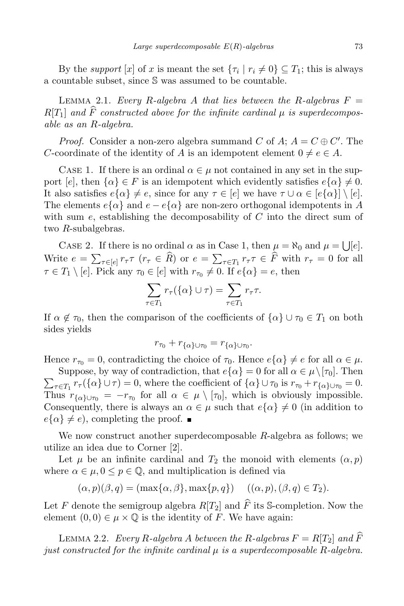By the *support*  $[x]$  of x is meant the set  $\{\tau_i \mid r_i \neq 0\} \subseteq T_1$ ; this is always a countable subset, since S was assumed to be countable.

LEMMA 2.1. Every R-algebra A that lies between the R-algebras  $F =$  $R[T_1]$  and  $\widehat{F}$  constructed above for the infinite cardinal  $\mu$  is superdecomposable as an R-algebra.

*Proof.* Consider a non-zero algebra summand C of A;  $A = C \oplus C'$ . The C-coordinate of the identity of A is an idempotent element  $0 \neq e \in A$ .

CASE 1. If there is an ordinal  $\alpha \in \mu$  not contained in any set in the support [e], then  $\{\alpha\} \in F$  is an idempotent which evidently satisfies  $e\{\alpha\} \neq 0$ . It also satisfies  $e\{\alpha\} \neq e$ , since for any  $\tau \in [e]$  we have  $\tau \cup \alpha \in [e\{\alpha\}] \setminus [e]$ . The elements  $e\{\alpha\}$  and  $e - e\{\alpha\}$  are non-zero orthogonal idempotents in A with sum  $e$ , establishing the decomposability of  $C$  into the direct sum of two R-subalgebras.

CASE 2. If there is no ordinal  $\alpha$  as in Case 1, then  $\mu = \aleph_0$  and  $\mu = \bigcup [e]$ . Write  $e = \sum_{\tau \in [e]} r_{\tau} \tau$   $(r_{\tau} \in \widehat{R})$  or  $e = \sum_{\tau \in T_1} r_{\tau} \tau \in \widehat{F}$  with  $r_{\tau} = 0$  for all  $\tau \in T_1 \setminus [e]$ . Pick any  $\tau_0 \in [e]$  with  $r_{\tau_0} \neq 0$ . If  $e\{\alpha\} = e$ , then

$$
\sum_{\tau \in T_1} r_{\tau}(\{\alpha\} \cup \tau) = \sum_{\tau \in T_1} r_{\tau} \tau.
$$

If  $\alpha \notin \tau_0$ , then the comparison of the coefficients of  $\{\alpha\} \cup \tau_0 \in T_1$  on both sides yields

$$
r_{\tau_0}+r_{\{\alpha\}\cup\tau_0}=r_{\{\alpha\}\cup\tau_0}.
$$

Hence  $r_{\tau_0} = 0$ , contradicting the choice of  $\tau_0$ . Hence  $e\{\alpha\} \neq e$  for all  $\alpha \in \mu$ .

 $\sum_{\tau \in T_1} r_{\tau}(\{\alpha\} \cup \tau) = 0$ , where the coefficient of  $\{\alpha\} \cup \tau_0$  is  $r_{\tau_0} + r_{\{\alpha\} \cup \tau_0} = 0$ . Suppose, by way of contradiction, that  $e\{\alpha\} = 0$  for all  $\alpha \in \mu \setminus [\tau_0]$ . Then Thus  $r_{\{\alpha\}\cup\tau_0} = -r_{\tau_0}$  for all  $\alpha \in \mu \setminus [\tau_0]$ , which is obviously impossible. Consequently, there is always an  $\alpha \in \mu$  such that  $e\{\alpha\} \neq 0$  (in addition to  $e\{\alpha\} \neq e$ , completing the proof.  $\blacksquare$ 

We now construct another superdecomposable  $R$ -algebra as follows; we utilize an idea due to Corner [2].

Let  $\mu$  be an infinite cardinal and  $T_2$  the monoid with elements  $(\alpha, p)$ where  $\alpha \in \mu, 0 \leq p \in \mathbb{Q}$ , and multiplication is defined via

$$
(\alpha, p)(\beta, q) = (\max\{\alpha, \beta\}, \max\{p, q\}) \quad ((\alpha, p), (\beta, q) \in T_2).
$$

Let F denote the semigroup algebra  $R[T_2]$  and  $\widehat{F}$  its S-completion. Now the element  $(0,0) \in \mu \times \mathbb{Q}$  is the identity of F. We have again:

LEMMA 2.2. Every R-algebra A between the R-algebras  $F = R[T_2]$  and  $\widehat{F}$ just constructed for the infinite cardinal  $\mu$  is a superdecomposable R-algebra.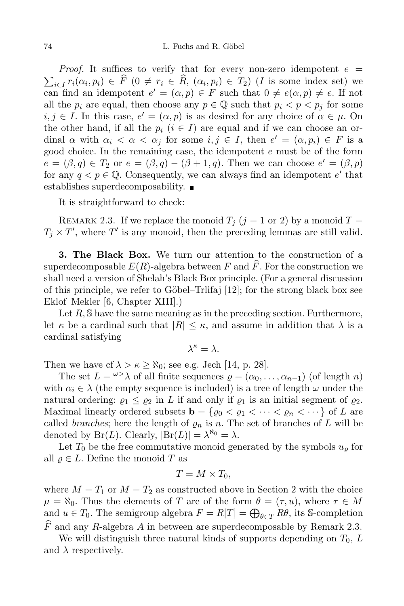$\sum_{i\in I} r_i(\alpha_i, p_i) \in \widehat{F}$   $(0 \neq r_i \in \widehat{R}, (\alpha_i, p_i) \in T_2)$  (*I* is some index set) we *Proof.* It suffices to verify that for every non-zero idempotent  $e =$ can find an idempotent  $e' = (\alpha, p) \in F$  such that  $0 \neq e(\alpha, p) \neq e$ . If not all the  $p_i$  are equal, then choose any  $p \in \mathbb{Q}$  such that  $p_i < p < p_j$  for some  $i, j \in I$ . In this case,  $e' = (\alpha, p)$  is as desired for any choice of  $\alpha \in \mu$ . On the other hand, if all the  $p_i$   $(i \in I)$  are equal and if we can choose an ordinal  $\alpha$  with  $\alpha_i < \alpha < \alpha_j$  for some  $i, j \in I$ , then  $e' = (\alpha, p_i) \in F$  is a good choice. In the remaining case, the idempotent e must be of the form  $e = (\beta, q) \in T_2$  or  $e = (\beta, q) - (\beta + 1, q)$ . Then we can choose  $e' = (\beta, p)$ for any  $q < p \in \mathbb{Q}$ . Consequently, we can always find an idempotent  $e'$  that establishes superdecomposability.

It is straightforward to check:

REMARK 2.3. If we replace the monoid  $T_i$   $(j = 1 \text{ or } 2)$  by a monoid  $T =$  $T_j \times T'$ , where T' is any monoid, then the preceding lemmas are still valid.

3. The Black Box. We turn our attention to the construction of a superdecomposable  $E(R)$ -algebra between F and  $\widehat{F}$ . For the construction we shall need a version of Shelah's Black Box principle. (For a general discussion of this principle, we refer to Göbel–Trlifaj  $[12]$ ; for the strong black box see Eklof–Mekler [6, Chapter XIII].)

Let  $R$ ,  $\mathbb S$  have the same meaning as in the preceding section. Furthermore, let  $\kappa$  be a cardinal such that  $|R| \leq \kappa$ , and assume in addition that  $\lambda$  is a cardinal satisfying

$$
\lambda^\kappa=\lambda.
$$

Then we have cf  $\lambda > \kappa \geq \aleph_0$ ; see e.g. Jech [14, p. 28].

The set  $L = \omega > \lambda$  of all finite sequences  $\rho = (\alpha_0, \ldots, \alpha_{n-1})$  (of length n) with  $\alpha_i \in \lambda$  (the empty sequence is included) is a tree of length  $\omega$  under the natural ordering:  $\rho_1 \leq \rho_2$  in L if and only if  $\rho_1$  is an initial segment of  $\rho_2$ . Maximal linearly ordered subsets  $\mathbf{b} = \{ \varrho_0 < \varrho_1 < \cdots < \varrho_n < \cdots \}$  of L are called *branches*; here the length of  $\varrho_n$  is n. The set of branches of L will be denoted by  $\text{Br}(L)$ . Clearly,  $|\text{Br}(L)| = \lambda^{\kappa_0} = \lambda$ .

Let  $T_0$  be the free commutative monoid generated by the symbols  $u_\rho$  for all  $\rho \in L$ . Define the monoid T as

$$
T = M \times T_0,
$$

where  $M = T_1$  or  $M = T_2$  as constructed above in Section 2 with the choice  $\mu = \aleph_0$ . Thus the elements of T are of the form  $\theta = (\tau, u)$ , where  $\tau \in M$ and  $u \in T_0$ . The semigroup algebra  $F = R[T] = \bigoplus_{\theta \in T} R\theta$ , its S-completion  $\widehat{F}$  and any R-algebra A in between are superdecomposable by Remark 2.3.

We will distinguish three natural kinds of supports depending on  $T_0$ ,  $L$ and  $\lambda$  respectively.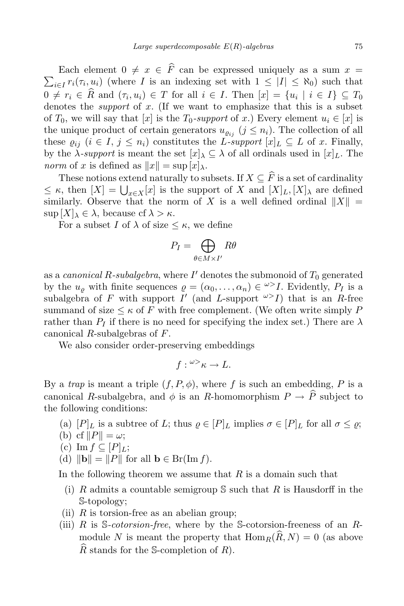$\sum_{i\in I} r_i(\tau_i, u_i)$  (where I is an indexing set with  $1 \leq |I| \leq \aleph_0$ ) such that Each element  $0 \neq x \in \widehat{F}$  can be expressed uniquely as a sum  $x =$  $0 \neq r_i \in R$  and  $(\tau_i, u_i) \in T$  for all  $i \in I$ . Then  $[x] = \{u_i \mid i \in I\} \subseteq T_0$ denotes the *support* of  $x$ . (If we want to emphasize that this is a subset of  $T_0$ , we will say that  $[x]$  is the  $T_0$ -support of x.) Every element  $u_i \in [x]$  is the unique product of certain generators  $u_{\rho_{ij}}$  ( $j \leq n_i$ ). The collection of all these  $\varrho_{ij}$   $(i \in I, j \leq n_i)$  constitutes the L-support  $[x]_L \subseteq L$  of x. Finally, by the  $\lambda$ -support is meant the set  $[x]_{\lambda} \subseteq \lambda$  of all ordinals used in  $[x]_L$ . The norm of x is defined as  $||x|| = \sup |x|_{\lambda}$ .

These notions extend naturally to subsets. If  $X \subseteq \widehat{F}$  is a set of cardinality  $\leq \kappa$ , then  $[X] = \bigcup_{x \in X}[x]$  is the support of X and  $[X]_L, [X]_\lambda$  are defined similarly. Observe that the norm of X is a well defined ordinal  $||X|| =$  $\sup [X]_{\lambda} \in \lambda$ , because cf  $\lambda > \kappa$ .

For a subset I of  $\lambda$  of size  $\leq \kappa$ , we define

$$
P_I = \bigoplus_{\theta \in M \times I'} R\theta
$$

as a *canonical R-subalgebra*, where  $I'$  denotes the submonoid of  $T_0$  generated by the  $u_{\varrho}$  with finite sequences  $\rho = (\alpha_0, \ldots, \alpha_n) \in \mathbb{Z}^n$ . Evidently,  $P_I$  is a subalgebra of F with support  $I'$  (and L-support  $\omega > I$ ) that is an R-free summand of size  $\leq \kappa$  of F with free complement. (We often write simply P rather than  $P_I$  if there is no need for specifying the index set.) There are  $\lambda$ canonical R-subalgebras of F.

We also consider order-preserving embeddings

$$
f: {}^{\omega\geq}\kappa\to L.
$$

By a trap is meant a triple  $(f, P, \phi)$ , where f is such an embedding, P is a canonical R-subalgebra, and  $\phi$  is an R-homomorphism  $P \to \hat{P}$  subject to the following conditions:

- (a)  $[P]_L$  is a subtree of L; thus  $\varrho \in [P]_L$  implies  $\sigma \in [P]_L$  for all  $\sigma \leq \varrho$ ;
- (b) cf  $||P|| = \omega$ ;
- (c) Im  $f \subseteq [P]_L$ ;
- (d)  $\|\mathbf{b}\| = \|P\|$  for all  $\mathbf{b} \in \text{Br}(\text{Im } f)$ .

In the following theorem we assume that  $R$  is a domain such that

- (i) R admits a countable semigroup  $\mathcal S$  such that R is Hausdorff in the S-topology;
- (ii)  $R$  is torsion-free as an abelian group;
- (iii) R is  $\mathcal S$ -cotorsion-free, where by the  $\mathcal S$ -cotorsion-freeness of an Rmodule N is meant the property that  $\text{Hom}_R(\widehat{R}, N) = 0$  (as above  $\widehat{R}$  stands for the S-completion of  $R$ ).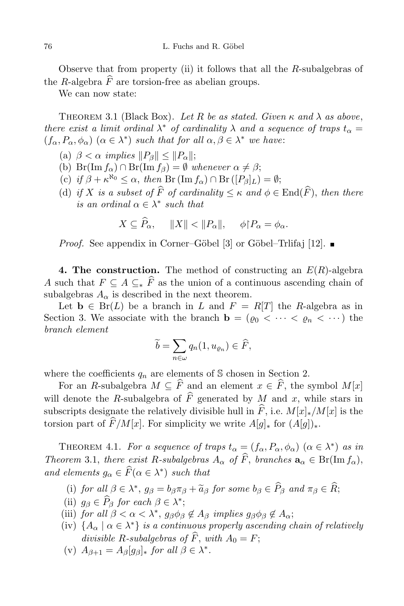Observe that from property (ii) it follows that all the  $R$ -subalgebras of the R-algebra  $\widehat{F}$  are torsion-free as abelian groups.

We can now state:

THEOREM 3.1 (Black Box). Let R be as stated. Given  $\kappa$  and  $\lambda$  as above, there exist a limit ordinal  $\lambda^*$  of cardinality  $\lambda$  and a sequence of traps  $t_{\alpha} =$  $(f_{\alpha}, P_{\alpha}, \phi_{\alpha})$   $(\alpha \in \lambda^*)$  such that for all  $\alpha, \beta \in \lambda^*$  we have:

- (a)  $\beta < \alpha$  implies  $||P_{\beta}|| < ||P_{\alpha}||$ ;
- (b)  $Br(Im f_{\alpha}) \cap Br(Im f_{\beta}) = \emptyset$  whenever  $\alpha \neq \beta$ ;
- (c) if  $\beta + \kappa^{\kappa_0} \leq \alpha$ , then  $\text{Br}(\text{Im } f_\alpha) \cap \text{Br}([P_\beta]_L) = \emptyset$ ;
- (d) if X is a subset of  $\widehat{F}$  of cardinality  $\leq \kappa$  and  $\phi \in \text{End}(\widehat{F})$ , then there is an ordinal  $\alpha \in \lambda^*$  such that

$$
X \subseteq \widehat{P}_{\alpha}, \quad ||X|| < ||P_{\alpha}||, \quad \phi \upharpoonright P_{\alpha} = \phi_{\alpha}.
$$

*Proof.* See appendix in Corner–Göbel [3] or Göbel–Trlifaj [12].

4. The construction. The method of constructing an  $E(R)$ -algebra A such that  $F \subseteq A \subseteq_{*} \widehat{F}$  as the union of a continuous ascending chain of subalgebras  $A_{\alpha}$  is described in the next theorem.

Let **b**  $\in$  Br(*L*) be a branch in *L* and  $F = R[T]$  the *R*-algebra as in Section 3. We associate with the branch  $\mathbf{b} = (\varrho_0 \langle \cdots \langle \varrho_n \langle \cdots \rangle)$  the branch element

$$
\widetilde{b} = \sum_{n \in \omega} q_n(1, u_{\varrho_n}) \in \widehat{F},
$$

where the coefficients  $q_n$  are elements of S chosen in Section 2.

For an R-subalgebra  $M \subseteq \widehat{F}$  and an element  $x \in \widehat{F}$ , the symbol  $M[x]$ will denote the R-subalgebra of  $\widehat{F}$  generated by M and x, while stars in subscripts designate the relatively divisible hull in  $\widehat{F}$ , i.e.  $M[x]_*/M[x]$  is the torsion part of  $\widehat{F}/M[x]$ . For simplicity we write  $A[g]_*$  for  $(A[g])_*$ .

THEOREM 4.1. For a sequence of traps  $t_{\alpha} = (f_{\alpha}, P_{\alpha}, \phi_{\alpha}) \; (\alpha \in \lambda^*)$  as in Theorem 3.1, there exist R-subalgebras  $A_{\alpha}$  of  $\widehat{F}$ , branches  $\mathbf{a}_{\alpha} \in \text{Br}(\text{Im } f_{\alpha})$ , and elements  $g_{\alpha} \in F(\alpha \in \lambda^*)$  such that

- (i) for all  $\beta \in \lambda^*$ ,  $g_{\beta} = b_{\beta} \pi_{\beta} + \tilde{a}_{\beta}$  for some  $b_{\beta} \in P_{\beta}$  and  $\pi_{\beta} \in R$ ;
- (ii)  $g_{\beta} \in P_{\beta}$  for each  $\beta \in \lambda^*$ ;
- (iii) for all  $\beta < \alpha < \lambda^*$ ,  $g_{\beta} \phi_{\beta} \notin A_{\beta}$  implies  $g_{\beta} \phi_{\beta} \notin A_{\alpha}$ ;
- (iv)  $\{A_{\alpha} \mid \alpha \in \lambda^*\}$  is a continuous properly ascending chain of relatively divisible R-subalgebras of  $\widehat{F}$ , with  $A_0 = F$ ;
- (v)  $A_{\beta+1} = A_{\beta}[g_{\beta}]_*$  for all  $\beta \in \lambda^*$ .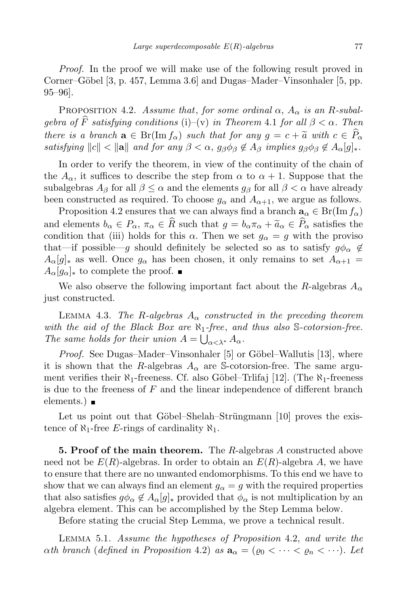Proof. In the proof we will make use of the following result proved in Corner–Göbel  $[3, p. 457, Lemma 3.6]$  and Dugas–Mader–Vinsonhaler  $[5, pp.$ 95–96].

PROPOSITION 4.2. Assume that, for some ordinal  $\alpha$ ,  $A_{\alpha}$  is an R-subalgebra of  $\widehat{F}$  satisfying conditions (i)–(v) in Theorem 4.1 for all  $\beta < \alpha$ . Then there is a branch  $\mathbf{a} \in \text{Br}(\text{Im } f_{\alpha})$  such that for any  $q = c + \tilde{a}$  with  $c \in \widehat{P}_{\alpha}$ satisfying  $||c|| < ||a||$  and for any  $\beta < \alpha$ ,  $g_{\beta}\phi_{\beta} \notin A_{\beta}$  implies  $g_{\beta}\phi_{\beta} \notin A_{\alpha}[g]_{*}$ .

In order to verify the theorem, in view of the continuity of the chain of the  $A_{\alpha}$ , it suffices to describe the step from  $\alpha$  to  $\alpha + 1$ . Suppose that the subalgebras  $A_\beta$  for all  $\beta \leq \alpha$  and the elements  $g_\beta$  for all  $\beta < \alpha$  have already been constructed as required. To choose  $g_{\alpha}$  and  $A_{\alpha+1}$ , we argue as follows.

Proposition 4.2 ensures that we can always find a branch  $\mathbf{a}_{\alpha} \in \text{Br}(\text{Im } f_{\alpha})$ and elements  $b_{\alpha} \in P_{\alpha}, \pi_{\alpha} \in \widehat{R}$  such that  $g = b_{\alpha} \pi_{\alpha} + \widetilde{a}_{\alpha} \in \widehat{P}_{\alpha}$  satisfies the condition that (iii) holds for this  $\alpha$ . Then we set  $g_{\alpha} = g$  with the proviso that—if possible—g should definitely be selected so as to satisfy  $g\phi_\alpha \notin$  $A_{\alpha}[g]_{\ast}$  as well. Once  $g_{\alpha}$  has been chosen, it only remains to set  $A_{\alpha+1} =$  $A_{\alpha}[g_{\alpha}]_{\ast}$  to complete the proof.  $\blacksquare$ 

We also observe the following important fact about the R-algebras  $A_{\alpha}$ just constructed.

LEMMA 4.3. The R-algebras  $A_{\alpha}$  constructed in the preceding theorem with the aid of the Black Box are  $\aleph_1$ -free, and thus also S-cotorsion-free. The same holds for their union  $A = \bigcup_{\alpha < \lambda^*} A_\alpha$ .

*Proof.* See Dugas–Mader–Vinsonhaler [5] or Göbel–Wallutis [13], where it is shown that the R-algebras  $A_{\alpha}$  are S-cotorsion-free. The same argument verifies their  $\aleph_1$ -freeness. Cf. also Göbel–Trlifaj [12]. (The  $\aleph_1$ -freeness is due to the freeness of  $F$  and the linear independence of different branch elements.) **■** 

Let us point out that Göbel–Shelah–Strüngmann [10] proves the existence of  $\aleph_1$ -free E-rings of cardinality  $\aleph_1$ .

**5. Proof of the main theorem.** The R-algebras A constructed above need not be  $E(R)$ -algebras. In order to obtain an  $E(R)$ -algebra A, we have to ensure that there are no unwanted endomorphisms. To this end we have to show that we can always find an element  $g_{\alpha} = g$  with the required properties that also satisfies  $g\phi_{\alpha} \notin A_{\alpha}[g]_*$  provided that  $\phi_{\alpha}$  is not multiplication by an algebra element. This can be accomplished by the Step Lemma below.

Before stating the crucial Step Lemma, we prove a technical result.

Lemma 5.1. Assume the hypotheses of Proposition 4.2, and write the  $\alpha$ th branch (defined in Proposition 4.2) as  $\mathbf{a}_{\alpha} = (\varrho_0 \langle \cdots \langle \varrho_n \langle \cdots \rangle)$ . Let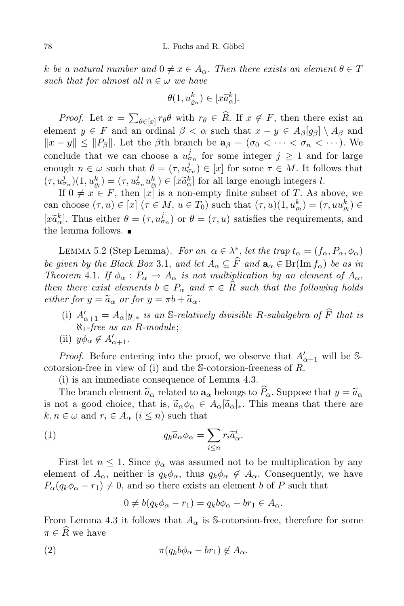k be a natural number and  $0 \neq x \in A_{\alpha}$ . Then there exists an element  $\theta \in T$ such that for almost all  $n \in \omega$  we have

$$
\theta(1, u_{\varrho_n}^k) \in [x \widetilde{a}_{\alpha}^k].
$$

*Proof.* Let  $x = \sum_{\theta \in [x]} r_{\theta} \theta$  with  $r_{\theta} \in \widehat{R}$ . If  $x \notin F$ , then there exist an element  $y \in F$  and an ordinal  $\beta < \alpha$  such that  $x - y \in A_{\beta}[g_{\beta}] \setminus A_{\beta}$  and  $||x - y|| \le ||P_\beta||$ . Let the  $\beta$ th branch be  $a_\beta = (\sigma_0 < \cdots < \sigma_n < \cdots)$ . We conclude that we can choose a  $u_{\sigma_n}^j$  for some integer  $j \geq 1$  and for large enough  $n \in \omega$  such that  $\theta = (\tau, u_{\sigma_n}^j) \in [x]$  for some  $\tau \in M$ . It follows that  $(\tau, u_{\sigma_n}^j)(1, u_{\sigma_n}^k) = (\tau, u_{\sigma_n}^j u_{\sigma_n}^k) \in [x \widetilde{a}_\alpha^k]$  for all large enough integers l.

If  $0 \neq x \in F$ , then  $[x]$  is a non-empty finite subset of T. As above, we can choose  $(\tau, u) \in [x]$   $(\tau \in M, u \in T_0)$  such that  $(\tau, u)(1, u_{\varrho_l}^k) = (\tau, u u_{\varrho_l}^k) \in$  $[x\tilde{a}_\alpha^k]$ . Thus either  $\theta = (\tau, u\dot{a}_n)$  or  $\theta = (\tau, u)$  satisfies the requirements, and the lemma follows.

LEMMA 5.2 (Step Lemma). For an  $\alpha \in \lambda^*_{\alpha}$ , let the trap  $t_{\alpha} = (f_{\alpha}, P_{\alpha}, \phi_{\alpha})$ be given by the Black Box 3.1, and let  $A_\alpha \subseteq \widehat{F}$  and  $\mathbf{a}_\alpha \in \text{Br}(\text{Im } f_\alpha)$  be as in Theorem 4.1. If  $\phi_{\alpha}: P_{\alpha} \to A_{\alpha}$  is not multiplication by an element of  $A_{\alpha}$ , then there exist elements  $b \in P_\alpha$  and  $\pi \in \widehat{R}$  such that the following holds either for  $y = \tilde{a}_{\alpha}$  or for  $y = \pi b + \tilde{a}_{\alpha}$ .

- (i)  $A'_{\alpha+1} = A_{\alpha}[y]_{*}$  is an S-relatively divisible R-subalgebra of F that is  $\aleph_1$ -free as an R-module;
- (ii)  $y\phi_{\alpha} \notin A'_{\alpha+1}$ .

*Proof.* Before entering into the proof, we observe that  $A'_{\alpha+1}$  will be Scotorsion-free in view of (i) and the S-cotorsion-freeness of R.

(i) is an immediate consequence of Lemma 4.3.

The branch element  $\tilde{a}_{\alpha}$  related to  $a_{\alpha}$  belongs to  $\hat{P}_{\alpha}$ . Suppose that  $y = \tilde{a}_{\alpha}$ is not a good choice, that is,  $\tilde{a}_{\alpha}\phi_{\alpha} \in A_{\alpha}[\tilde{a}_{\alpha}]_{*}$ . This means that there are  $k, n \in \omega$  and  $r_i \in A_\alpha$   $(i \leq n)$  such that

(1) 
$$
q_k \tilde{a}_\alpha \phi_\alpha = \sum_{i \leq n} r_i \tilde{a}_\alpha^i.
$$

First let  $n \leq 1$ . Since  $\phi_{\alpha}$  was assumed not to be multiplication by any element of  $A_{\alpha}$ , neither is  $q_k \phi_{\alpha}$ , thus  $q_k \phi_{\alpha} \notin A_{\alpha}$ . Consequently, we have  $P_{\alpha}(q_k \phi_{\alpha} - r_1) \neq 0$ , and so there exists an element b of P such that

$$
0 \neq b(q_k \phi_\alpha - r_1) = q_k b \phi_\alpha - br_1 \in A_\alpha.
$$

From Lemma 4.3 it follows that  $A_{\alpha}$  is S-cotorsion-free, therefore for some  $\pi \in \widehat{R}$  we have

$$
\pi(q_k b \phi_\alpha - br_1) \not\in A_\alpha.
$$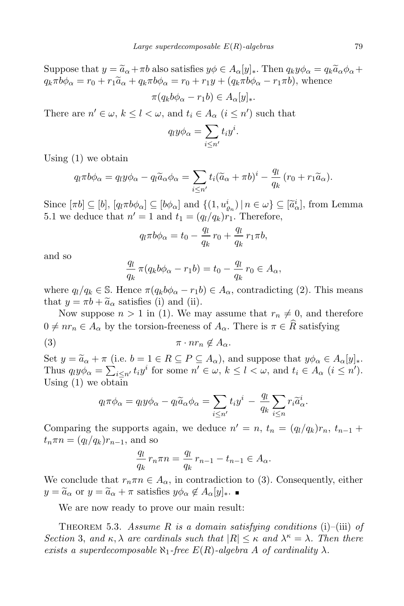Suppose that  $y = \tilde{a}_{\alpha} + \pi b$  also satisfies  $y\phi \in A_{\alpha}[y]_*$ . Then  $q_k y \phi_{\alpha} = q_k \tilde{a}_{\alpha} \phi_{\alpha} +$  $q_k \pi b \phi_\alpha = r_0 + r_1 \widetilde{a}_\alpha + q_k \pi b \phi_\alpha = r_0 + r_1 y + (q_k \pi b \phi_\alpha - r_1 \pi b)$ , whence

$$
\pi(q_k b \phi_\alpha - r_1 b) \in A_\alpha[y]_*.
$$

There are  $n' \in \omega$ ,  $k \leq l < \omega$ , and  $t_i \in A_{\alpha}$   $(i \leq n')$  such that

$$
q_l y \phi_\alpha = \sum_{i \le n'} t_i y^i.
$$

Using (1) we obtain

$$
q_l \pi b \phi_\alpha = q_l y \phi_\alpha - q_l \widetilde{a}_\alpha \phi_\alpha = \sum_{i \le n'} t_i (\widetilde{a}_\alpha + \pi b)^i - \frac{q_l}{q_k} (r_0 + r_1 \widetilde{a}_\alpha).
$$

Since  $[\pi b] \subseteq [b]$ ,  $[q_i \pi b \phi_\alpha] \subseteq [b \phi_\alpha]$  and  $\{(1, u_{\rho_n}^i) \mid n \in \omega\} \subseteq [\tilde{a}_\alpha^i]$ , from Lemma 5.1 we deduce that  $n' = 1$  and  $t_1 = (q_l/q_k)r_1$ . Therefore,

$$
q_l \pi b \phi_\alpha = t_0 - \frac{q_l}{q_k} r_0 + \frac{q_l}{q_k} r_1 \pi b,
$$

and so

$$
\frac{q_l}{q_k} \pi(q_k b \phi_\alpha - r_1 b) = t_0 - \frac{q_l}{q_k} r_0 \in A_\alpha,
$$

where  $q_l/q_k \in \mathbb{S}$ . Hence  $\pi(q_kb\phi_\alpha - r_1b) \in A_\alpha$ , contradicting (2). This means that  $y = \pi b + \tilde{a}_{\alpha}$  satisfies (i) and (ii).

Now suppose  $n > 1$  in (1). We may assume that  $r_n \neq 0$ , and therefore  $0 \neq nr_n \in A_\alpha$  by the torsion-freeness of  $A_\alpha$ . There is  $\pi \in \widehat{R}$  satisfying

$$
(3) \t\t \pi \cdot nr_n \notin A_\alpha.
$$

Set  $y = \tilde{a}_{\alpha} + \pi$  (i.e.  $b = 1 \in R \subseteq P \subseteq A_{\alpha}$ ), and suppose that  $y\phi_{\alpha} \in A_{\alpha}[y]_{*}$ . Thus  $q_i y \phi_\alpha = \sum_{i \leq n'} t_i y^i$  for some  $n' \in \omega$ ,  $k \leq l < \omega$ , and  $t_i \in A_\alpha$   $(i \leq n')$ . Using (1) we obtain

$$
q_l \pi \phi_\alpha = q_l y \phi_\alpha - q_l \widetilde{a}_\alpha \phi_\alpha = \sum_{i \le n'} t_i y^i - \frac{q_l}{q_k} \sum_{i \le n} r_i \widetilde{a}_\alpha^i.
$$

Comparing the supports again, we deduce  $n' = n$ ,  $t_n = (q_l/q_k)r_n$ ,  $t_{n-1}$  +  $t_n\pi n = (q_l/q_k)r_{n-1}$ , and so

$$
\frac{q_l}{q_k} r_n \pi n = \frac{q_l}{q_k} r_{n-1} - t_{n-1} \in A_\alpha.
$$

We conclude that  $r_n \pi n \in A_\alpha$ , in contradiction to (3). Consequently, either  $y = \tilde{a}_{\alpha}$  or  $y = \tilde{a}_{\alpha} + \pi$  satisfies  $y \phi_{\alpha} \notin A_{\alpha}[y]_{\ast}$ .

We are now ready to prove our main result:

THEOREM 5.3. Assume R is a domain satisfying conditions (i)–(iii) of Section 3, and  $\kappa, \lambda$  are cardinals such that  $|R| \leq \kappa$  and  $\lambda^{\kappa} = \lambda$ . Then there exists a superdecomposable  $\aleph_1$ -free  $E(R)$ -algebra A of cardinality  $\lambda$ .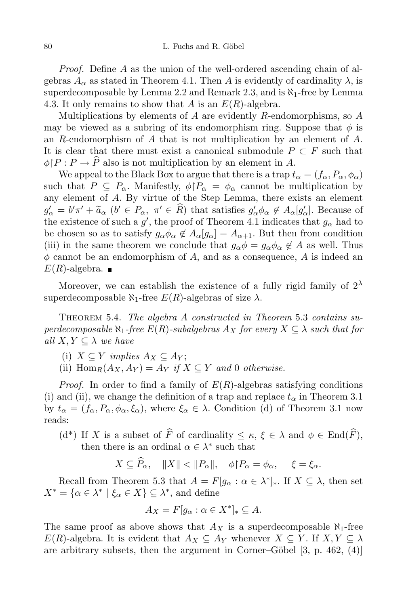Proof. Define A as the union of the well-ordered ascending chain of algebras  $A_{\alpha}$  as stated in Theorem 4.1. Then A is evidently of cardinality  $\lambda$ , is superdecomposable by Lemma 2.2 and Remark 2.3, and is  $\aleph_1$ -free by Lemma 4.3. It only remains to show that A is an  $E(R)$ -algebra.

Multiplications by elements of A are evidently R-endomorphisms, so  $A$ may be viewed as a subring of its endomorphism ring. Suppose that  $\phi$  is an R-endomorphism of A that is not multiplication by an element of  $A$ . It is clear that there must exist a canonical submodule  $P \subset F$  such that  $\phi \upharpoonright P : P \to \widehat{P}$  also is not multiplication by an element in A.

We appeal to the Black Box to argue that there is a trap  $t_{\alpha} = (f_{\alpha}, P_{\alpha}, \phi_{\alpha})$ such that  $P \subseteq P_\alpha$ . Manifestly,  $\phi | P_\alpha = \phi_\alpha$  cannot be multiplication by any element of A. By virtue of the Step Lemma, there exists an element  $g'_{\alpha} = b'\pi' + \tilde{a}_{\alpha}$   $(b' \in P_{\alpha}, \pi' \in R)$  that satisfies  $g'_{\alpha}\phi_{\alpha} \notin A_{\alpha}[g'_{\alpha}]$ . Because of the existence of such a  $g'$ , the proof of Theorem 4.1 indicates that  $g_{\alpha}$  had to be chosen so as to satisfy  $g_{\alpha} \phi_{\alpha} \notin A_{\alpha}[g_{\alpha}] = A_{\alpha+1}$ . But then from condition (iii) in the same theorem we conclude that  $g_{\alpha}\phi = g_{\alpha}\phi_{\alpha} \notin A$  as well. Thus  $\phi$  cannot be an endomorphism of A, and as a consequence, A is indeed an  $E(R)$ -algebra.

Moreover, we can establish the existence of a fully rigid family of  $2^{\lambda}$ superdecomposable  $\aleph_1$ -free  $E(R)$ -algebras of size  $\lambda$ .

Theorem 5.4. The algebra A constructed in Theorem 5.3 contains superdecomposable  $\aleph_1$ -free  $E(R)$ -subalgebras  $A_X$  for every  $X \subseteq \lambda$  such that for all  $X, Y \subseteq \lambda$  we have

- (i)  $X \subseteq Y$  implies  $A_X \subseteq A_Y$ ;
- (ii)  $\text{Hom}_R(A_X, A_Y) = A_Y$  if  $X \subseteq Y$  and 0 otherwise.

*Proof.* In order to find a family of  $E(R)$ -algebras satisfying conditions (i) and (ii), we change the definition of a trap and replace  $t_{\alpha}$  in Theorem 3.1 by  $t_{\alpha} = (f_{\alpha}, P_{\alpha}, \phi_{\alpha}, \xi_{\alpha})$ , where  $\xi_{\alpha} \in \lambda$ . Condition (d) of Theorem 3.1 now reads:

(d<sup>\*</sup>) If X is a subset of  $\widehat{F}$  of cardinality  $\leq \kappa, \xi \in \lambda$  and  $\phi \in \text{End}(\widehat{F})$ , then there is an ordinal  $\alpha \in \lambda^*$  such that

$$
X \subseteq \widehat{P}_{\alpha}, \quad ||X|| < ||P_{\alpha}||, \quad \phi \upharpoonright P_{\alpha} = \phi_{\alpha}, \quad \xi = \xi_{\alpha}.
$$

Recall from Theorem 5.3 that  $A = F[g_\alpha : \alpha \in \lambda^*]_*$ . If  $X \subseteq \lambda$ , then set  $X^* = \{ \alpha \in \lambda^* \mid \xi_\alpha \in X \} \subseteq \lambda^*$ , and define

$$
A_X = F[g_\alpha : \alpha \in X^*]_* \subseteq A.
$$

The same proof as above shows that  $A_X$  is a superdecomposable  $\aleph_1$ -free  $E(R)$ -algebra. It is evident that  $A_X \subseteq A_Y$  whenever  $X \subseteq Y$ . If  $X, Y \subseteq \lambda$ are arbitrary subsets, then the argument in Corner–Göbel  $[3, p. 462, (4)]$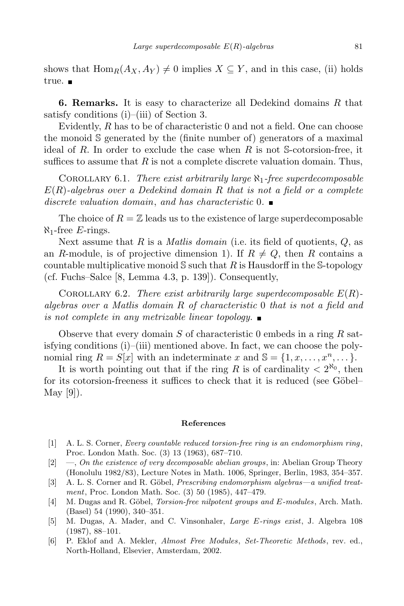shows that  $\text{Hom}_{R}(A_{X}, A_{Y}) \neq 0$  implies  $X \subseteq Y$ , and in this case, (ii) holds true. ■

**6. Remarks.** It is easy to characterize all Dedekind domains  $R$  that satisfy conditions (i)–(iii) of Section 3.

Evidently, R has to be of characteristic 0 and not a field. One can choose the monoid S generated by the (finite number of) generators of a maximal ideal of R. In order to exclude the case when R is not S-cotorsion-free, it suffices to assume that  $R$  is not a complete discrete valuation domain. Thus,

COROLLARY 6.1. There exist arbitrarily large  $\aleph_1$ -free superdecomposable  $E(R)$ -algebras over a Dedekind domain R that is not a field or a complete discrete valuation domain, and has characteristic  $0.$ 

The choice of  $R = \mathbb{Z}$  leads us to the existence of large superdecomposable  $\aleph_1$ -free E-rings.

Next assume that R is a *Matlis domain* (i.e. its field of quotients,  $Q$ , as an R-module, is of projective dimension 1). If  $R \neq Q$ , then R contains a countable multiplicative monoid  $\mathcal S$  such that R is Hausdorff in the S-topology (cf. Fuchs–Salce [8, Lemma 4.3, p. 139]). Consequently,

COROLLARY 6.2. There exist arbitrarily large superdecomposable  $E(R)$ algebras over a Matlis domain R of characteristic 0 that is not a field and is not complete in any metrizable linear topology.  $\blacksquare$ 

Observe that every domain S of characteristic 0 embeds in a ring R satisfying conditions  $(i)$ – $(iii)$  mentioned above. In fact, we can choose the polynomial ring  $R = S[x]$  with an indeterminate x and  $\mathbb{S} = \{1, x, \dots, x^n, \dots\}$ .

It is worth pointing out that if the ring R is of cardinality  $\langle 2^{N_0}, \text{ then} \rangle$ for its cotorsion-freeness it suffices to check that it is reduced (see Göbel– May [9]).

## References

- [1] A. L. S. Corner, Every countable reduced torsion-free ring is an endomorphism ring, Proc. London Math. Soc. (3) 13 (1963), 687–710.
- [2] —, On the existence of very decomposable abelian groups, in: Abelian Group Theory (Honolulu 1982/83), Lecture Notes in Math. 1006, Springer, Berlin, 1983, 354–357.
- [3] A. L. S. Corner and R. Göbel, *Prescribing endomorphism algebras—a unified treat*ment, Proc. London Math. Soc. (3) 50 (1985), 447–479.
- [4] M. Dugas and R. Göbel, *Torsion-free nilpotent groups and E-modules*, Arch. Math. (Basel) 54 (1990), 340–351.
- [5] M. Dugas, A. Mader, and C. Vinsonhaler, Large E-rings exist, J. Algebra 108 (1987), 88–101.
- [6] P. Eklof and A. Mekler, Almost Free Modules, Set-Theoretic Methods, rev. ed., North-Holland, Elsevier, Amsterdam, 2002.